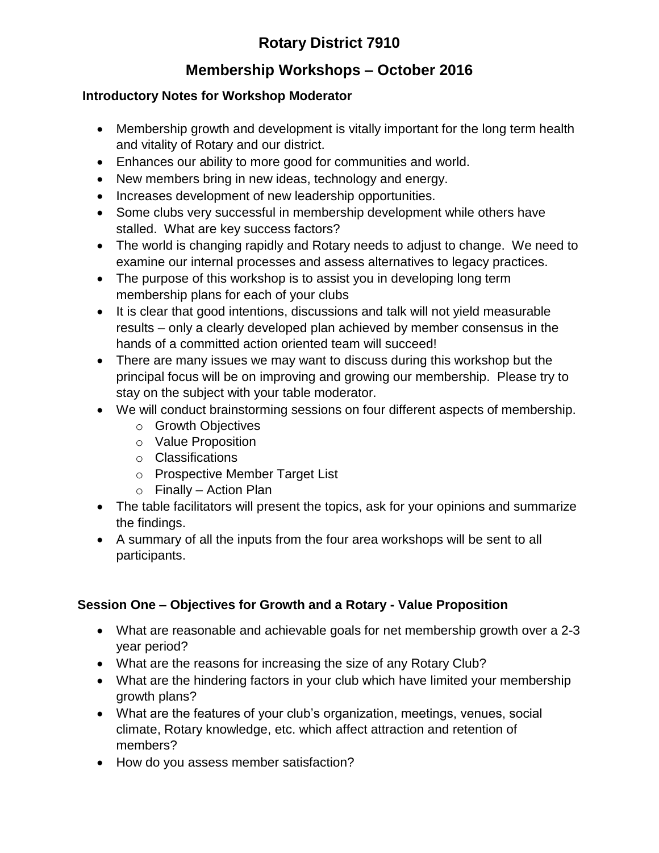# **Rotary District 7910**

## **Membership Workshops – October 2016**

#### **Introductory Notes for Workshop Moderator**

- Membership growth and development is vitally important for the long term health and vitality of Rotary and our district.
- Enhances our ability to more good for communities and world.
- New members bring in new ideas, technology and energy.
- Increases development of new leadership opportunities.
- Some clubs very successful in membership development while others have stalled. What are key success factors?
- The world is changing rapidly and Rotary needs to adjust to change. We need to examine our internal processes and assess alternatives to legacy practices.
- The purpose of this workshop is to assist you in developing long term membership plans for each of your clubs
- It is clear that good intentions, discussions and talk will not yield measurable results – only a clearly developed plan achieved by member consensus in the hands of a committed action oriented team will succeed!
- There are many issues we may want to discuss during this workshop but the principal focus will be on improving and growing our membership. Please try to stay on the subject with your table moderator.
- We will conduct brainstorming sessions on four different aspects of membership.
	- o Growth Objectives
	- o Value Proposition
	- o Classifications
	- o Prospective Member Target List
	- $\circ$  Finally Action Plan
- The table facilitators will present the topics, ask for your opinions and summarize the findings.
- A summary of all the inputs from the four area workshops will be sent to all participants.

## **Session One – Objectives for Growth and a Rotary - Value Proposition**

- What are reasonable and achievable goals for net membership growth over a 2-3 year period?
- What are the reasons for increasing the size of any Rotary Club?
- What are the hindering factors in your club which have limited your membership growth plans?
- What are the features of your club's organization, meetings, venues, social climate, Rotary knowledge, etc. which affect attraction and retention of members?
- How do you assess member satisfaction?